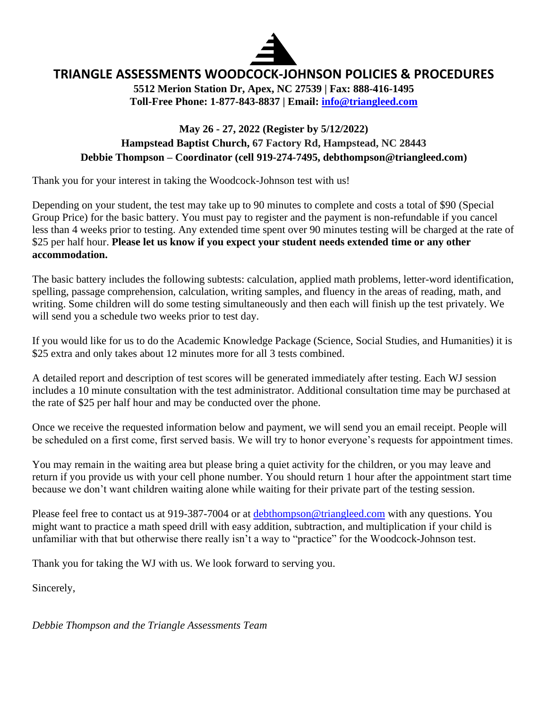

## **TRIANGLE ASSESSMENTS WOODCOCK-JOHNSON POLICIES & PROCEDURES**

**5512 Merion Station Dr, Apex, NC 27539 | Fax: 888-416-1495 Toll-Free Phone: 1-877-843-8837 | Email: [info@triangleed.com](mailto:info@triangleed.com)**

### **May 26 - 27, 2022 (Register by 5/12/2022) Hampstead Baptist Church, 67 Factory Rd, Hampstead, NC 28443 Debbie Thompson – Coordinator (cell 919-274-7495, debthompson@triangleed.com)**

Thank you for your interest in taking the Woodcock-Johnson test with us!

Depending on your student, the test may take up to 90 minutes to complete and costs a total of \$90 (Special Group Price) for the basic battery. You must pay to register and the payment is non-refundable if you cancel less than 4 weeks prior to testing. Any extended time spent over 90 minutes testing will be charged at the rate of \$25 per half hour. **Please let us know if you expect your student needs extended time or any other accommodation.**

The basic battery includes the following subtests: calculation, applied math problems, letter-word identification, spelling, passage comprehension, calculation, writing samples, and fluency in the areas of reading, math, and writing. Some children will do some testing simultaneously and then each will finish up the test privately. We will send you a schedule two weeks prior to test day.

If you would like for us to do the Academic Knowledge Package (Science, Social Studies, and Humanities) it is \$25 extra and only takes about 12 minutes more for all 3 tests combined.

A detailed report and description of test scores will be generated immediately after testing. Each WJ session includes a 10 minute consultation with the test administrator. Additional consultation time may be purchased at the rate of \$25 per half hour and may be conducted over the phone.

Once we receive the requested information below and payment, we will send you an email receipt. People will be scheduled on a first come, first served basis. We will try to honor everyone's requests for appointment times.

You may remain in the waiting area but please bring a quiet activity for the children, or you may leave and return if you provide us with your cell phone number. You should return 1 hour after the appointment start time because we don't want children waiting alone while waiting for their private part of the testing session.

Please feel free to contact us at 919-387-7004 or at [debthompson@triangleed.com](mailto:debthompson@triangleed.com) with any questions. You might want to practice a math speed drill with easy addition, subtraction, and multiplication if your child is unfamiliar with that but otherwise there really isn't a way to "practice" for the Woodcock-Johnson test.

Thank you for taking the WJ with us. We look forward to serving you.

Sincerely,

*Debbie Thompson and the Triangle Assessments Team*